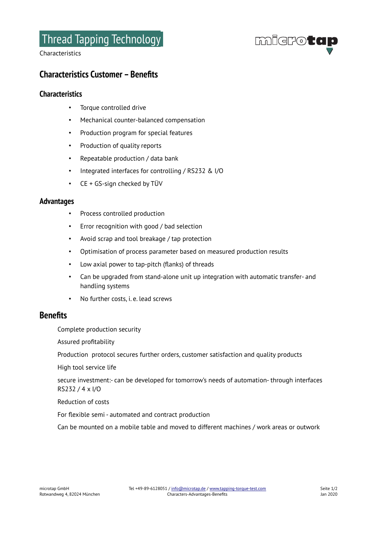# Thread Tapping Technology

Characteristics



## **Characteristics Customer – Benefits**

## **Characteristics**

- Torque controlled drive
- Mechanical counter-balanced compensation
- Production program for special features
- Production of quality reports
- Repeatable production / data bank
- Integrated interfaces for controlling / RS232 & I/O
- CE + GS-sign checked by TÜV

#### **Advantages**

- Process controlled production
- Error recognition with good / bad selection
- Avoid scrap and tool breakage / tap protection
- Optimisation of process parameter based on measured production results
- Low axial power to tap-pitch (flanks) of threads
- Can be upgraded from stand-alone unit up integration with automatic transfer- and handling systems
- No further costs, i. e. lead screws

## **Benefits**

Complete production security

Assured profitability

Production protocol secures further orders, customer satisfaction and quality products

High tool service life

secure investment:- can be developed for tomorrow's needs of automation- through interfaces RS232 / 4 x I/O

Reduction of costs

For flexible semi - automated and contract production

Can be mounted on a mobile table and moved to different machines / work areas or outwork